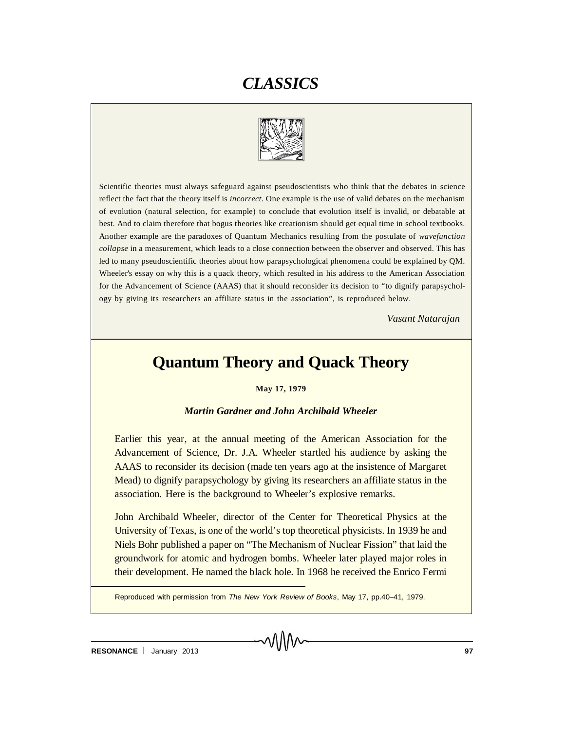

Scientific theories must always safeguard against pseudoscientists who think that the debates in science reflect the fact that the theory itself is *incorrect*. One example is the use of valid debates on the mechanism of evolution (natural selection, for example) to conclude that evolution itself is invalid, or debatable at best. And to claim therefore that bogus theories like creationism should get equal time in school textbooks. Another example are the paradoxes of Quantum Mechanics resulting from the postulate of *wavefunction collapse* in a measurement, which leads to a close connection between the observer and observed. This has led to many pseudoscientific theories about how parapsychological phenomena could be explained by QM. Wheeler's essay on why this is a quack theory, which resulted in his address to the American Association for the Advancement of Science (AAAS) that it should reconsider its decision to "to dignify parapsychology by giving its researchers an affiliate status in the association", is reproduced below.

*Vasant Natarajan*

### **Quantum Theory and Quack Theory**

#### **May 17, 1979**

### *Martin Gardner and John Archibald Wheeler*

Earlier this year, at the annual meeting of the American Association for the Advancement of Science, Dr. J.A. Wheeler startled his audience by asking the AAAS to reconsider its decision (made ten years ago at the insistence of Margaret Mead) to dignify parapsychology by giving its researchers an affiliate status in the association. Here is the background to Wheeler's explosive remarks.

John Archibald Wheeler, director of the Center for Theoretical Physics at the University of Texas, is one of the world's top theoretical physicists. In 1939 he and Niels Bohr published a paper on "The Mechanism of Nuclear Fission" that laid the groundwork for atomic and hydrogen bombs. Wheeler later played major roles in their development. He named the black hole. In 1968 he received the Enrico Fermi

Reproduced with permission from *The New York Review of Books*, May 17, pp.40–41, 1979.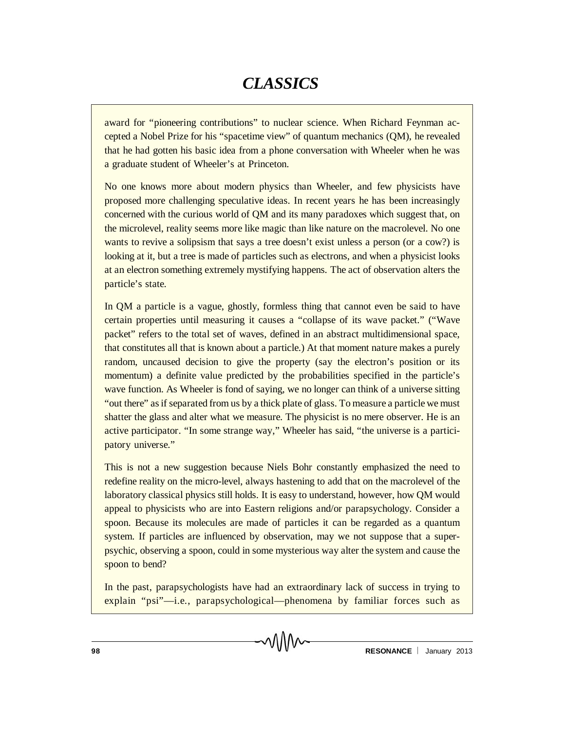award for "pioneering contributions" to nuclear science. When Richard Feynman accepted a Nobel Prize for his "spacetime view" of quantum mechanics (QM), he revealed that he had gotten his basic idea from a phone conversation with Wheeler when he was a graduate student of Wheeler's at Princeton.

No one knows more about modern physics than Wheeler, and few physicists have proposed more challenging speculative ideas. In recent years he has been increasingly concerned with the curious world of QM and its many paradoxes which suggest that, on the microlevel, reality seems more like magic than like nature on the macrolevel. No one wants to revive a solipsism that says a tree doesn't exist unless a person (or a cow?) is looking at it, but a tree is made of particles such as electrons, and when a physicist looks at an electron something extremely mystifying happens. The act of observation alters the particle's state.

In QM a particle is a vague, ghostly, formless thing that cannot even be said to have certain properties until measuring it causes a "collapse of its wave packet." ("Wave packet" refers to the total set of waves, defined in an abstract multidimensional space, that constitutes all that is known about a particle.) At that moment nature makes a purely random, uncaused decision to give the property (say the electron's position or its momentum) a definite value predicted by the probabilities specified in the particle's wave function. As Wheeler is fond of saying, we no longer can think of a universe sitting "out there" as if separated from us by a thick plate of glass. To measure a particle we must shatter the glass and alter what we measure. The physicist is no mere observer. He is an active participator. "In some strange way," Wheeler has said, "the universe is a participatory universe."

This is not a new suggestion because Niels Bohr constantly emphasized the need to redefine reality on the micro-level, always hastening to add that on the macrolevel of the laboratory classical physics still holds. It is easy to understand, however, how QM would appeal to physicists who are into Eastern religions and/or parapsychology. Consider a spoon. Because its molecules are made of particles it can be regarded as a quantum system. If particles are influenced by observation, may we not suppose that a superpsychic, observing a spoon, could in some mysterious way alter the system and cause the spoon to bend?

In the past, parapsychologists have had an extraordinary lack of success in trying to explain "psi"—i.e., parapsychological—phenomena by familiar forces such as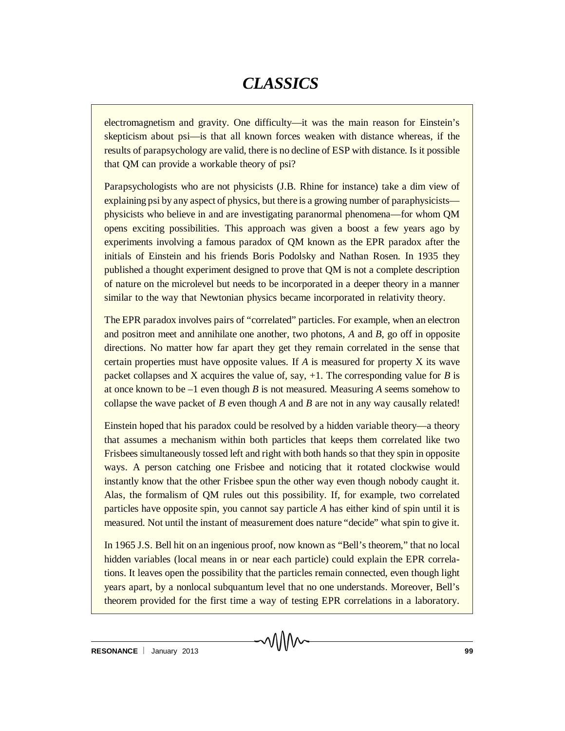electromagnetism and gravity. One difficulty—it was the main reason for Einstein's skepticism about psi—is that all known forces weaken with distance whereas, if the results of parapsychology are valid, there is no decline of ESP with distance. Is it possible that QM can provide a workable theory of psi?

Parapsychologists who are not physicists (J.B. Rhine for instance) take a dim view of explaining psi by any aspect of physics, but there is a growing number of paraphysicists physicists who believe in and are investigating paranormal phenomena—for whom QM opens exciting possibilities. This approach was given a boost a few years ago by experiments involving a famous paradox of QM known as the EPR paradox after the initials of Einstein and his friends Boris Podolsky and Nathan Rosen. In 1935 they published a thought experiment designed to prove that QM is not a complete description of nature on the microlevel but needs to be incorporated in a deeper theory in a manner similar to the way that Newtonian physics became incorporated in relativity theory.

The EPR paradox involves pairs of "correlated" particles. For example, when an electron and positron meet and annihilate one another, two photons, *A* and *B*, go off in opposite directions. No matter how far apart they get they remain correlated in the sense that certain properties must have opposite values. If *A* is measured for property X its wave packet collapses and X acquires the value of, say,  $+1$ . The corresponding value for *B* is at once known to be –1 even though *B* is not measured. Measuring *A* seems somehow to collapse the wave packet of *B* even though *A* and *B* are not in any way causally related!

Einstein hoped that his paradox could be resolved by a hidden variable theory—a theory that assumes a mechanism within both particles that keeps them correlated like two Frisbees simultaneously tossed left and right with both hands so that they spin in opposite ways. A person catching one Frisbee and noticing that it rotated clockwise would instantly know that the other Frisbee spun the other way even though nobody caught it. Alas, the formalism of QM rules out this possibility. If, for example, two correlated particles have opposite spin, you cannot say particle *A* has either kind of spin until it is measured. Not until the instant of measurement does nature "decide" what spin to give it.

In 1965 J.S. Bell hit on an ingenious proof, now known as "Bell's theorem," that no local hidden variables (local means in or near each particle) could explain the EPR correlations. It leaves open the possibility that the particles remain connected, even though light years apart, by a nonlocal subquantum level that no one understands. Moreover, Bell's theorem provided for the first time a way of testing EPR correlations in a laboratory.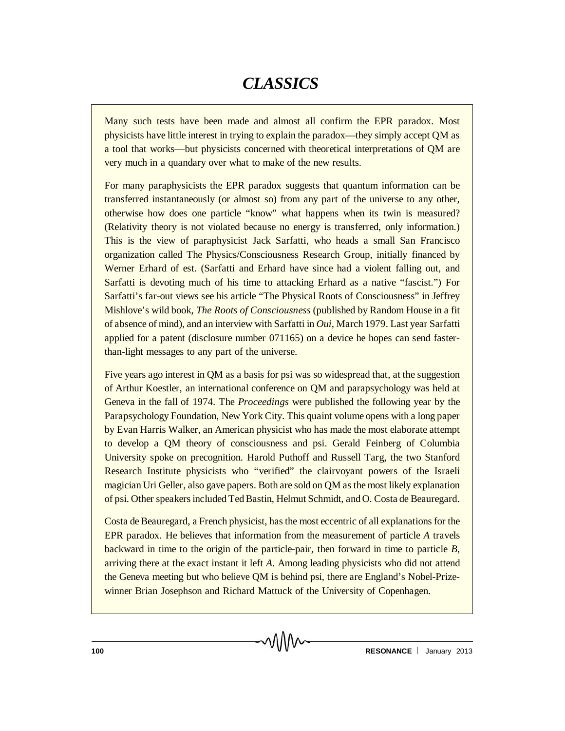Many such tests have been made and almost all confirm the EPR paradox. Most physicists have little interest in trying to explain the paradox—they simply accept QM as a tool that works—but physicists concerned with theoretical interpretations of QM are very much in a quandary over what to make of the new results.

For many paraphysicists the EPR paradox suggests that quantum information can be transferred instantaneously (or almost so) from any part of the universe to any other, otherwise how does one particle "know" what happens when its twin is measured? (Relativity theory is not violated because no energy is transferred, only information.) This is the view of paraphysicist Jack Sarfatti, who heads a small San Francisco organization called The Physics/Consciousness Research Group, initially financed by Werner Erhard of est. (Sarfatti and Erhard have since had a violent falling out, and Sarfatti is devoting much of his time to attacking Erhard as a native "fascist.") For Sarfatti's far-out views see his article "The Physical Roots of Consciousness" in Jeffrey Mishlove's wild book, *The Roots of Consciousness* (published by Random House in a fit of absence of mind), and an interview with Sarfatti in *Oui*, March 1979. Last year Sarfatti applied for a patent (disclosure number 071165) on a device he hopes can send fasterthan-light messages to any part of the universe.

Five years ago interest in QM as a basis for psi was so widespread that, at the suggestion of Arthur Koestler, an international conference on QM and parapsychology was held at Geneva in the fall of 1974. The *Proceedings* were published the following year by the Parapsychology Foundation, New York City. This quaint volume opens with a long paper by Evan Harris Walker, an American physicist who has made the most elaborate attempt to develop a QM theory of consciousness and psi. Gerald Feinberg of Columbia University spoke on precognition. Harold Puthoff and Russell Targ, the two Stanford Research Institute physicists who "verified" the clairvoyant powers of the Israeli magician Uri Geller, also gave papers. Both are sold on QM as the most likely explanation of psi. Other speakers included Ted Bastin, Helmut Schmidt, and O. Costa de Beauregard.

Costa de Beauregard, a French physicist, has the most eccentric of all explanations for the EPR paradox. He believes that information from the measurement of particle *A* travels backward in time to the origin of the particle-pair, then forward in time to particle *B*, arriving there at the exact instant it left *A*. Among leading physicists who did not attend the Geneva meeting but who believe QM is behind psi, there are England's Nobel-Prizewinner Brian Josephson and Richard Mattuck of the University of Copenhagen.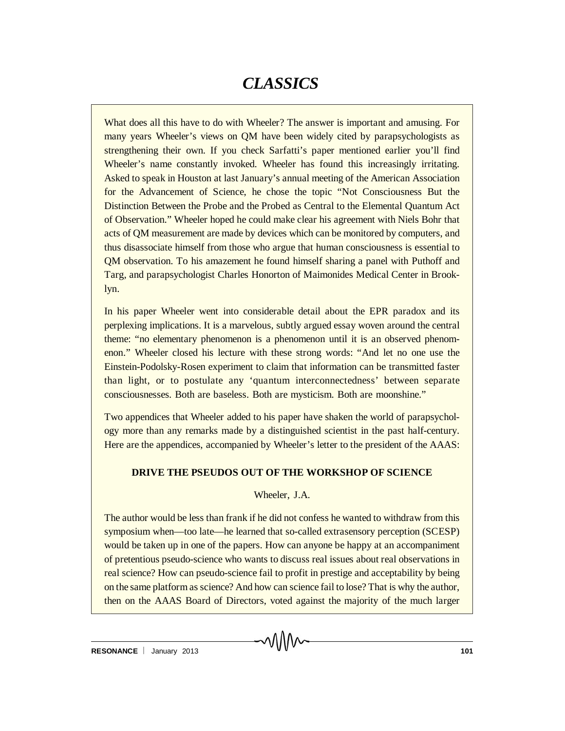What does all this have to do with Wheeler? The answer is important and amusing. For many years Wheeler's views on QM have been widely cited by parapsychologists as strengthening their own. If you check Sarfatti's paper mentioned earlier you'll find Wheeler's name constantly invoked. Wheeler has found this increasingly irritating. Asked to speak in Houston at last January's annual meeting of the American Association for the Advancement of Science, he chose the topic "Not Consciousness But the Distinction Between the Probe and the Probed as Central to the Elemental Quantum Act of Observation." Wheeler hoped he could make clear his agreement with Niels Bohr that acts of QM measurement are made by devices which can be monitored by computers, and thus disassociate himself from those who argue that human consciousness is essential to QM observation. To his amazement he found himself sharing a panel with Puthoff and Targ, and parapsychologist Charles Honorton of Maimonides Medical Center in Brooklyn.

In his paper Wheeler went into considerable detail about the EPR paradox and its perplexing implications. It is a marvelous, subtly argued essay woven around the central theme: "no elementary phenomenon is a phenomenon until it is an observed phenomenon." Wheeler closed his lecture with these strong words: "And let no one use the Einstein-Podolsky-Rosen experiment to claim that information can be transmitted faster than light, or to postulate any 'quantum interconnectedness' between separate consciousnesses. Both are baseless. Both are mysticism. Both are moonshine."

Two appendices that Wheeler added to his paper have shaken the world of parapsychology more than any remarks made by a distinguished scientist in the past half-century. Here are the appendices, accompanied by Wheeler's letter to the president of the AAAS:

### **DRIVE THE PSEUDOS OUT OF THE WORKSHOP OF SCIENCE**

### Wheeler, J.A.

The author would be less than frank if he did not confess he wanted to withdraw from this symposium when—too late—he learned that so-called extrasensory perception (SCESP) would be taken up in one of the papers. How can anyone be happy at an accompaniment of pretentious pseudo-science who wants to discuss real issues about real observations in real science? How can pseudo-science fail to profit in prestige and acceptability by being on the same platform as science? And how can science fail to lose? That is why the author, then on the AAAS Board of Directors, voted against the majority of the much larger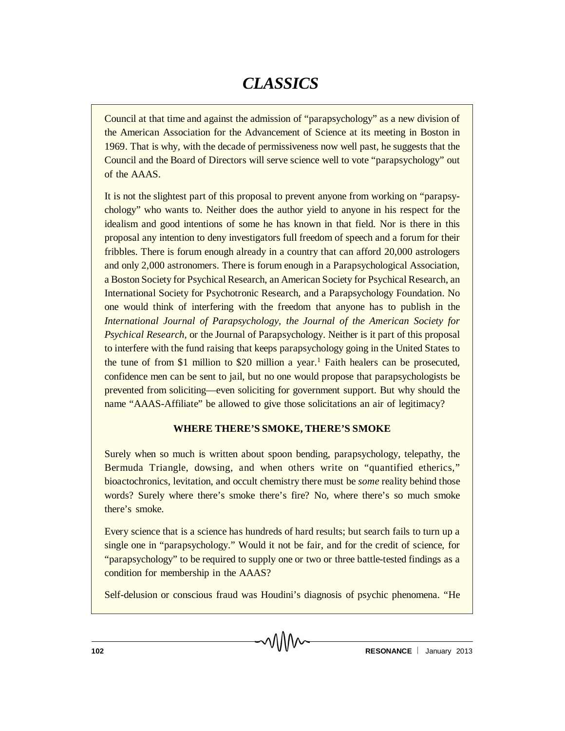Council at that time and against the admission of "parapsychology" as a new division of the American Association for the Advancement of Science at its meeting in Boston in 1969. That is why, with the decade of permissiveness now well past, he suggests that the Council and the Board of Directors will serve science well to vote "parapsychology" out of the AAAS.

It is not the slightest part of this proposal to prevent anyone from working on "parapsychology" who wants to. Neither does the author yield to anyone in his respect for the idealism and good intentions of some he has known in that field. Nor is there in this proposal any intention to deny investigators full freedom of speech and a forum for their fribbles. There is forum enough already in a country that can afford 20,000 astrologers and only 2,000 astronomers. There is forum enough in a Parapsychological Association, a Boston Society for Psychical Research, an American Society for Psychical Research, an International Society for Psychotronic Research, and a Parapsychology Foundation. No one would think of interfering with the freedom that anyone has to publish in the *International Journal of Parapsychology, the Journal of the American Society for Psychical Research*, or the Journal of Parapsychology. Neither is it part of this proposal to interfere with the fund raising that keeps parapsychology going in the United States to the tune of from \$1 million to \$20 million a year.<sup>1</sup> Faith healers can be prosecuted, confidence men can be sent to jail, but no one would propose that parapsychologists be prevented from soliciting—even soliciting for government support. But why should the name "AAAS-Affiliate" be allowed to give those solicitations an air of legitimacy?

### **WHERE THERE'S SMOKE, THERE'S SMOKE**

Surely when so much is written about spoon bending, parapsychology, telepathy, the Bermuda Triangle, dowsing, and when others write on "quantified etherics," bioactochronics, levitation, and occult chemistry there must be *some* reality behind those words? Surely where there's smoke there's fire? No, where there's so much smoke there's smoke.

Every science that is a science has hundreds of hard results; but search fails to turn up a single one in "parapsychology." Would it not be fair, and for the credit of science, for "parapsychology" to be required to supply one or two or three battle-tested findings as a condition for membership in the AAAS?

Self-delusion or conscious fraud was Houdini's diagnosis of psychic phenomena. "He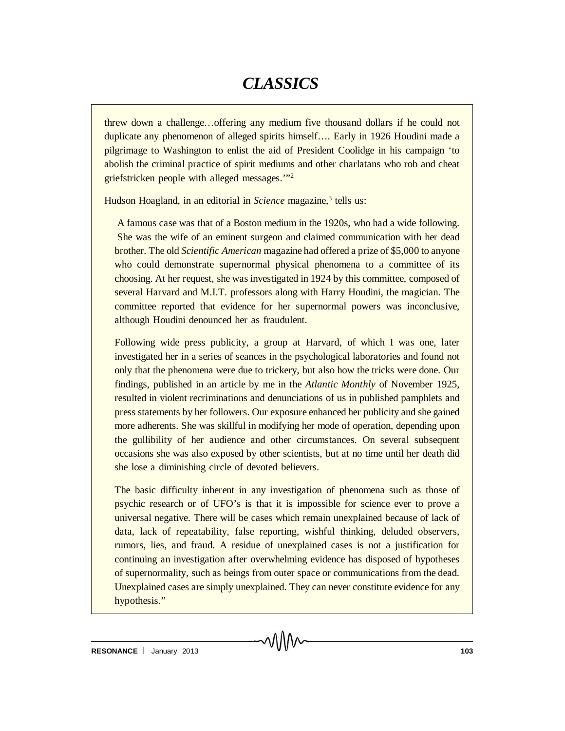threw down a challenge…offering any medium five thousand dollars if he could not duplicate any phenomenon of alleged spirits himself…. Early in 1926 Houdini made a pilgrimage to Washington to enlist the aid of President Coolidge in his campaign 'to abolish the criminal practice of spirit mediums and other charlatans who rob and cheat griefstricken people with alleged messages.'"2

Hudson Hoagland, in an editorial in *Science* magazine,<sup>3</sup> tells us:

A famous case was that of a Boston medium in the 1920s, who had a wide following. She was the wife of an eminent surgeon and claimed communication with her dead brother. The old *Scientific American* magazine had offered a prize of \$5,000 to anyone who could demonstrate supernormal physical phenomena to a committee of its choosing. At her request, she was investigated in 1924 by this committee, composed of several Harvard and M.I.T. professors along with Harry Houdini, the magician. The committee reported that evidence for her supernormal powers was inconclusive, although Houdini denounced her as fraudulent.

Following wide press publicity, a group at Harvard, of which I was one, later investigated her in a series of seances in the psychological laboratories and found not only that the phenomena were due to trickery, but also how the tricks were done. Our findings, published in an article by me in the *Atlantic Monthly* of November 1925, resulted in violent recriminations and denunciations of us in published pamphlets and press statements by her followers. Our exposure enhanced her publicity and she gained more adherents. She was skillful in modifying her mode of operation, depending upon the gullibility of her audience and other circumstances. On several subsequent occasions she was also exposed by other scientists, but at no time until her death did she lose a diminishing circle of devoted believers.

The basic difficulty inherent in any investigation of phenomena such as those of psychic research or of UFO's is that it is impossible for science ever to prove a universal negative. There will be cases which remain unexplained because of lack of data, lack of repeatability, false reporting, wishful thinking, deluded observers, rumors, lies, and fraud. A residue of unexplained cases is not a justification for continuing an investigation after overwhelming evidence has disposed of hypotheses of supernormality, such as beings from outer space or communications from the dead. Unexplained cases are simply unexplained. They can never constitute evidence for any hypothesis."

MMN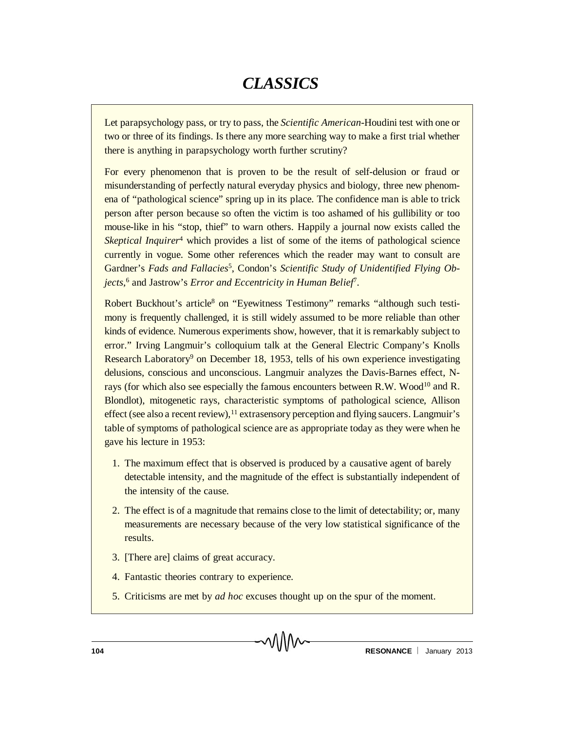Let parapsychology pass, or try to pass, the *Scientific American*-Houdini test with one or two or three of its findings. Is there any more searching way to make a first trial whether there is anything in parapsychology worth further scrutiny?

For every phenomenon that is proven to be the result of self-delusion or fraud or misunderstanding of perfectly natural everyday physics and biology, three new phenomena of "pathological science" spring up in its place. The confidence man is able to trick person after person because so often the victim is too ashamed of his gullibility or too mouse-like in his "stop, thief" to warn others. Happily a journal now exists called the *Skeptical Inquirer*<sup>4</sup> which provides a list of some of the items of pathological science currently in vogue. Some other references which the reader may want to consult are Gardner's Fads and Fallacies<sup>5</sup>, Condon's Scientific Study of Unidentified Flying Ob*jects*, <sup>6</sup> and Jastrow's *Error and Eccentricity in Human Belief*7.

Robert Buckhout's article8 on "Eyewitness Testimony" remarks "although such testimony is frequently challenged, it is still widely assumed to be more reliable than other kinds of evidence. Numerous experiments show, however, that it is remarkably subject to error." Irving Langmuir's colloquium talk at the General Electric Company's Knolls Research Laboratory<sup>9</sup> on December 18, 1953, tells of his own experience investigating delusions, conscious and unconscious. Langmuir analyzes the Davis-Barnes effect, Nrays (for which also see especially the famous encounters between R.W. Wood<sup>10</sup> and R. Blondlot), mitogenetic rays, characteristic symptoms of pathological science, Allison effect (see also a recent review),  $\frac{11}{11}$  extrasensory perception and flying saucers. Langmuir's table of symptoms of pathological science are as appropriate today as they were when he gave his lecture in 1953:

- 1. The maximum effect that is observed is produced by a causative agent of barely detectable intensity, and the magnitude of the effect is substantially independent of the intensity of the cause.
- 2. The effect is of a magnitude that remains close to the limit of detectability; or, many measurements are necessary because of the very low statistical significance of the results.
- 3. [There are] claims of great accuracy.
- 4. Fantastic theories contrary to experience.
- 5. Criticisms are met by *ad hoc* excuses thought up on the spur of the moment.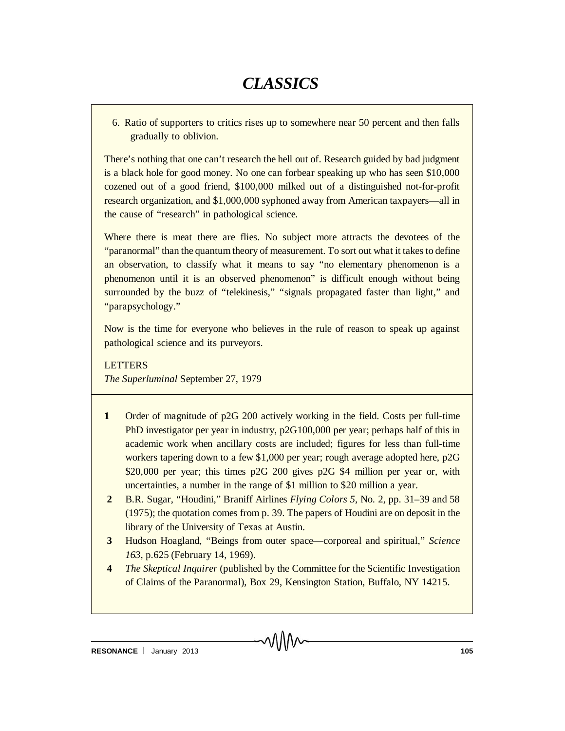6. Ratio of supporters to critics rises up to somewhere near 50 percent and then falls gradually to oblivion.

There's nothing that one can't research the hell out of. Research guided by bad judgment is a black hole for good money. No one can forbear speaking up who has seen \$10,000 cozened out of a good friend, \$100,000 milked out of a distinguished not-for-profit research organization, and \$1,000,000 syphoned away from American taxpayers—all in the cause of "research" in pathological science.

Where there is meat there are flies. No subject more attracts the devotees of the "paranormal" than the quantum theory of measurement. To sort out what it takes to define an observation, to classify what it means to say "no elementary phenomenon is a phenomenon until it is an observed phenomenon" is difficult enough without being surrounded by the buzz of "telekinesis," "signals propagated faster than light," and "parapsychology."

Now is the time for everyone who believes in the rule of reason to speak up against pathological science and its purveyors.

### LETTERS

*The Superluminal* September 27, 1979

- **1** Order of magnitude of p2G 200 actively working in the field. Costs per full-time PhD investigator per year in industry, p2G100,000 per year; perhaps half of this in academic work when ancillary costs are included; figures for less than full-time workers tapering down to a few \$1,000 per year; rough average adopted here, p2G \$20,000 per year; this times p2G 200 gives p2G \$4 million per year or, with uncertainties, a number in the range of \$1 million to \$20 million a year.
- **2** B.R. Sugar, "Houdini," Braniff Airlines *Flying Colors 5*, No. 2, pp. 31–39 and 58 (1975); the quotation comes from p. 39. The papers of Houdini are on deposit in the library of the University of Texas at Austin.
- **3** Hudson Hoagland, "Beings from outer space—corporeal and spiritual," *Science 163*, p.625 (February 14, 1969).
- **4** *The Skeptical Inquirer* (published by the Committee for the Scientific Investigation of Claims of the Paranormal), Box 29, Kensington Station, Buffalo, NY 14215.